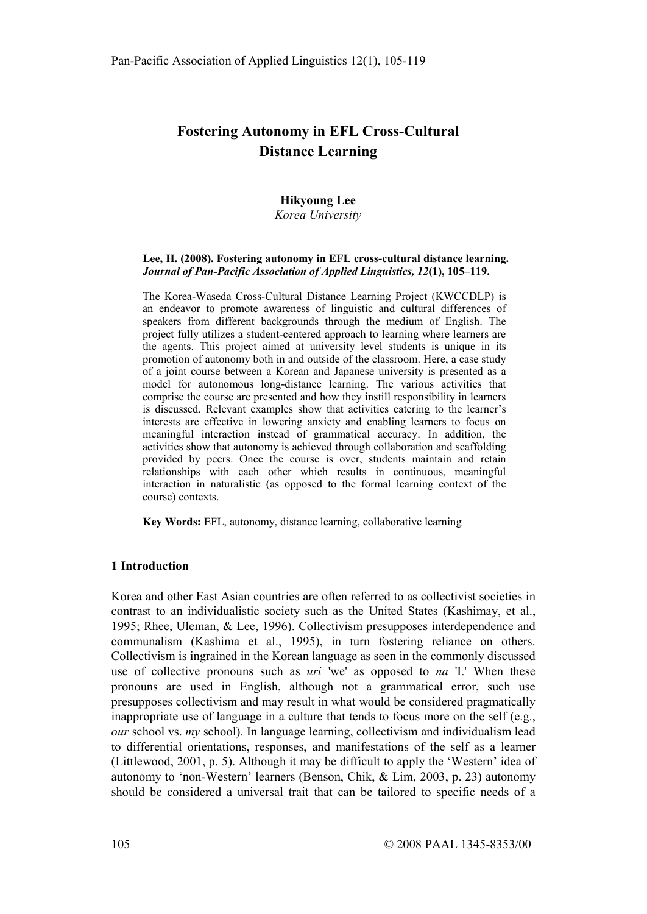# Fostering Autonomy in EFL Cross-Cultural Distance Learning

# Hikyoung Lee

Korea University

#### Lee, H. (2008). Fostering autonomy in EFL cross-cultural distance learning. Journal of Pan-Pacific Association of Applied Linguistics, 12(1), 105–119.

The Korea-Waseda Cross-Cultural Distance Learning Project (KWCCDLP) is an endeavor to promote awareness of linguistic and cultural differences of speakers from different backgrounds through the medium of English. The project fully utilizes a student-centered approach to learning where learners are the agents. This project aimed at university level students is unique in its promotion of autonomy both in and outside of the classroom. Here, a case study of a joint course between a Korean and Japanese university is presented as a model for autonomous long-distance learning. The various activities that comprise the course are presented and how they instill responsibility in learners is discussed. Relevant examples show that activities catering to the learner's interests are effective in lowering anxiety and enabling learners to focus on meaningful interaction instead of grammatical accuracy. In addition, the activities show that autonomy is achieved through collaboration and scaffolding provided by peers. Once the course is over, students maintain and retain relationships with each other which results in continuous, meaningful interaction in naturalistic (as opposed to the formal learning context of the course) contexts.

Key Words: EFL, autonomy, distance learning, collaborative learning

# 1 Introduction

Korea and other East Asian countries are often referred to as collectivist societies in contrast to an individualistic society such as the United States (Kashimay, et al., 1995; Rhee, Uleman, & Lee, 1996). Collectivism presupposes interdependence and communalism (Kashima et al., 1995), in turn fostering reliance on others. Collectivism is ingrained in the Korean language as seen in the commonly discussed use of collective pronouns such as  $uri$  'we' as opposed to na 'I.' When these pronouns are used in English, although not a grammatical error, such use presupposes collectivism and may result in what would be considered pragmatically inappropriate use of language in a culture that tends to focus more on the self (e.g.,  $our$  school vs.  $mv$  school). In language learning, collectivism and individualism lead to differential orientations, responses, and manifestations of the self as a learner (Littlewood, 2001, p. 5). Although it may be difficult to apply the 'Western' idea of autonomy to 'non-Western' learners (Benson, Chik, & Lim, 2003, p. 23) autonomy should be considered a universal trait that can be tailored to specific needs of a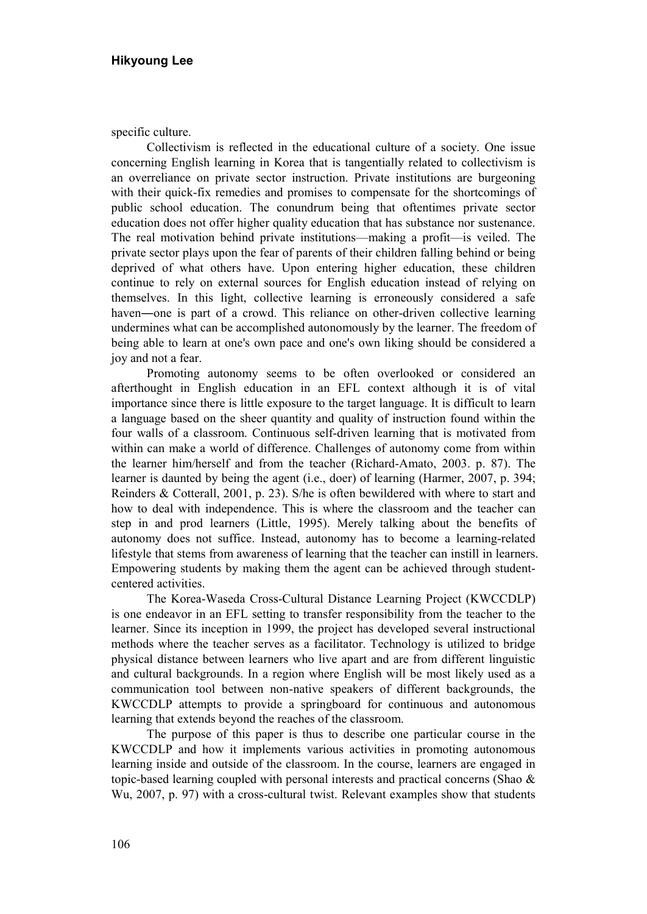specific culture.

Collectivism is reflected in the educational culture of a society. One issue concerning English learning in Korea that is tangentially related to collectivism is an overreliance on private sector instruction. Private institutions are burgeoning with their quick-fix remedies and promises to compensate for the shortcomings of public school education. The conundrum being that oftentimes private sector education does not offer higher quality education that has substance nor sustenance. The real motivation behind private institutions—making a profit—is veiled. The private sector plays upon the fear of parents of their children falling behind or being deprived of what others have. Upon entering higher education, these children continue to rely on external sources for English education instead of relying on themselves. In this light, collective learning is erroneously considered a safe haven—one is part of a crowd. This reliance on other-driven collective learning undermines what can be accomplished autonomously by the learner. The freedom of being able to learn at one's own pace and one's own liking should be considered a joy and not a fear.

Promoting autonomy seems to be often overlooked or considered an afterthought in English education in an EFL context although it is of vital importance since there is little exposure to the target language. It is difficult to learn a language based on the sheer quantity and quality of instruction found within the four walls of a classroom. Continuous self-driven learning that is motivated from within can make a world of difference. Challenges of autonomy come from within the learner him/herself and from the teacher (Richard-Amato, 2003. p. 87). The learner is daunted by being the agent (i.e., doer) of learning (Harmer, 2007, p. 394; Reinders & Cotterall, 2001, p. 23). S/he is often bewildered with where to start and how to deal with independence. This is where the classroom and the teacher can step in and prod learners (Little, 1995). Merely talking about the benefits of autonomy does not suffice. Instead, autonomy has to become a learning-related lifestyle that stems from awareness of learning that the teacher can instill in learners. Empowering students by making them the agent can be achieved through studentcentered activities.

The Korea-Waseda Cross-Cultural Distance Learning Project (KWCCDLP) is one endeavor in an EFL setting to transfer responsibility from the teacher to the learner. Since its inception in 1999, the project has developed several instructional methods where the teacher serves as a facilitator. Technology is utilized to bridge physical distance between learners who live apart and are from different linguistic and cultural backgrounds. In a region where English will be most likely used as a communication tool between non-native speakers of different backgrounds, the KWCCDLP attempts to provide a springboard for continuous and autonomous learning that extends beyond the reaches of the classroom.

The purpose of this paper is thus to describe one particular course in the KWCCDLP and how it implements various activities in promoting autonomous learning inside and outside of the classroom. In the course, learners are engaged in topic-based learning coupled with personal interests and practical concerns (Shao & Wu, 2007, p. 97) with a cross-cultural twist. Relevant examples show that students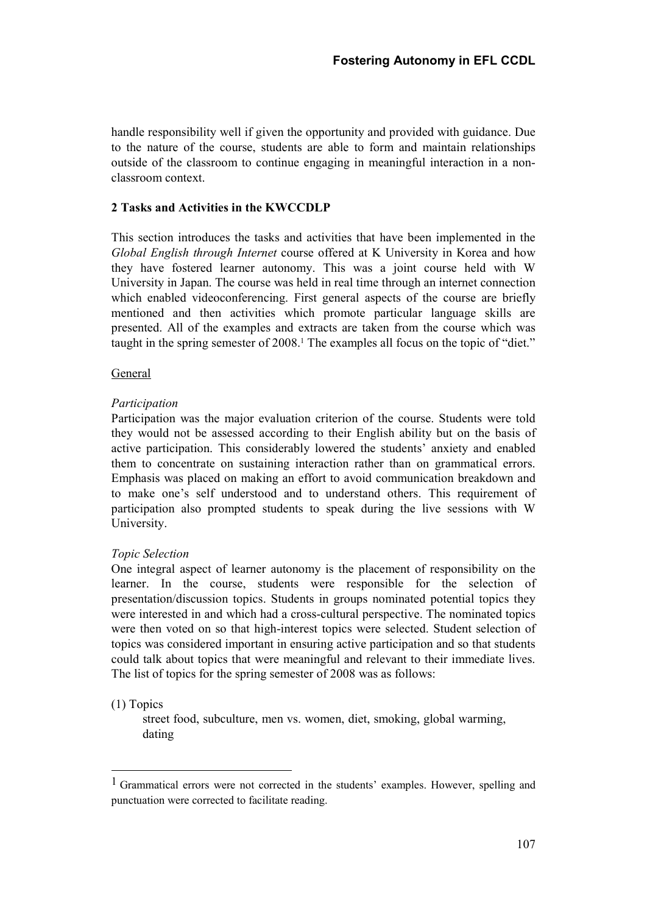handle responsibility well if given the opportunity and provided with guidance. Due to the nature of the course, students are able to form and maintain relationships outside of the classroom to continue engaging in meaningful interaction in a nonclassroom context.

# 2 Tasks and Activities in the KWCCDLP

This section introduces the tasks and activities that have been implemented in the Global English through Internet course offered at K University in Korea and how they have fostered learner autonomy. This was a joint course held with W University in Japan. The course was held in real time through an internet connection which enabled videoconferencing. First general aspects of the course are briefly mentioned and then activities which promote particular language skills are presented. All of the examples and extracts are taken from the course which was taught in the spring semester of 2008.<sup>1</sup> The examples all focus on the topic of "diet."

## General

## Participation

Participation was the major evaluation criterion of the course. Students were told they would not be assessed according to their English ability but on the basis of active participation. This considerably lowered the students' anxiety and enabled them to concentrate on sustaining interaction rather than on grammatical errors. Emphasis was placed on making an effort to avoid communication breakdown and to make one's self understood and to understand others. This requirement of participation also prompted students to speak during the live sessions with W University.

#### Topic Selection

One integral aspect of learner autonomy is the placement of responsibility on the learner. In the course, students were responsible for the selection of presentation/discussion topics. Students in groups nominated potential topics they were interested in and which had a cross-cultural perspective. The nominated topics were then voted on so that high-interest topics were selected. Student selection of topics was considered important in ensuring active participation and so that students could talk about topics that were meaningful and relevant to their immediate lives. The list of topics for the spring semester of 2008 was as follows:

#### (1) Topics

-

street food, subculture, men vs. women, diet, smoking, global warming, dating

<sup>&</sup>lt;sup>1</sup> Grammatical errors were not corrected in the students' examples. However, spelling and punctuation were corrected to facilitate reading.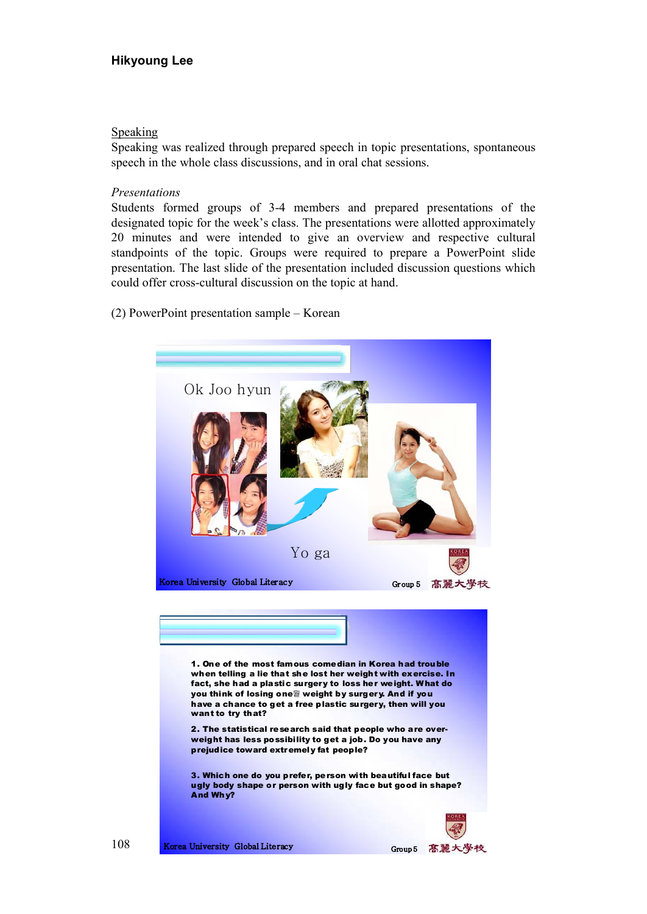## Speaking

Speaking was realized through prepared speech in topic presentations, spontaneous speech in the whole class discussions, and in oral chat sessions.

### Presentations

Students formed groups of 3-4 members and prepared presentations of the designated topic for the week's class. The presentations were allotted approximately 20 minutes and were intended to give an overview and respective cultural standpoints of the topic. Groups were required to prepare a PowerPoint slide presentation. The last slide of the presentation included discussion questions which could offer cross-cultural discussion on the topic at hand.

(2) PowerPoint presentation sample – Korean

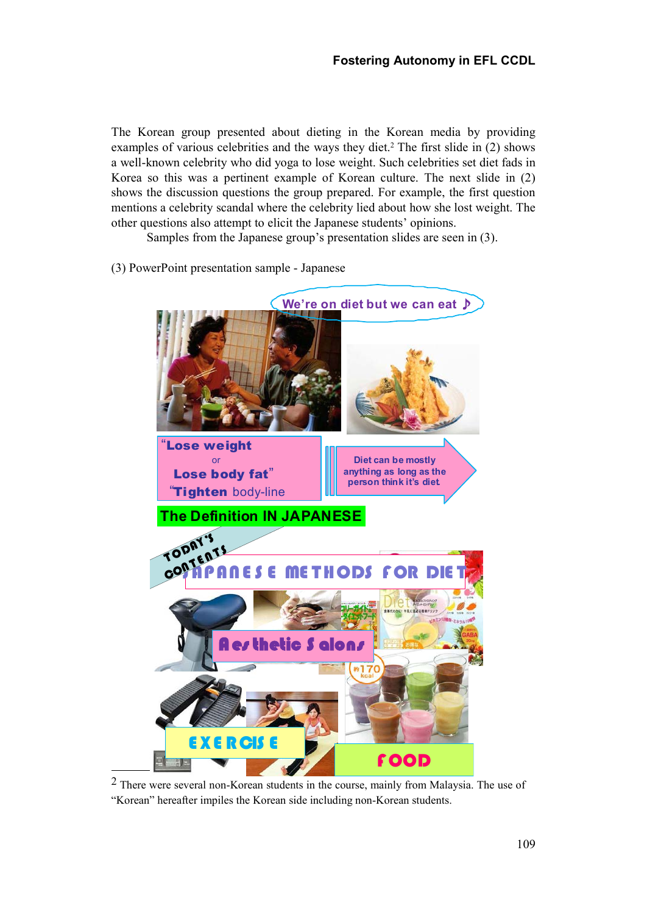The Korean group presented about dieting in the Korean media by providing examples of various celebrities and the ways they diet.<sup>2</sup> The first slide in (2) shows a well-known celebrity who did yoga to lose weight. Such celebrities set diet fads in Korea so this was a pertinent example of Korean culture. The next slide in (2) shows the discussion questions the group prepared. For example, the first question mentions a celebrity scandal where the celebrity lied about how she lost weight. The other questions also attempt to elicit the Japanese students' opinions.

Samples from the Japanese group's presentation slides are seen in (3).

The Definition IN JAPANESE We're on diet but we can eat ♪ "Lose weight or Lose body fat" "Tighten body-line Diet can be mostly anything as long as the person think it's diet. HODS FOR F OOD TODAY'S TOPMENTS Aes thetic S alons E X E R CIS E

(3) PowerPoint presentation sample - Japanese

2 There were several non-Korean students in the course, mainly from Malaysia. The use of "Korean" hereafter impiles the Korean side including non-Korean students.

-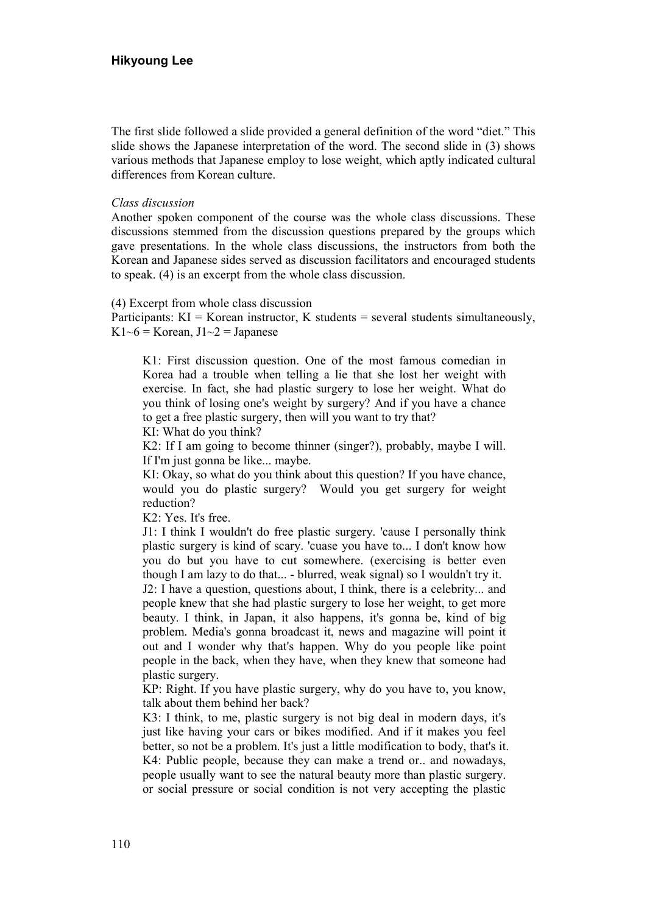The first slide followed a slide provided a general definition of the word "diet." This slide shows the Japanese interpretation of the word. The second slide in (3) shows various methods that Japanese employ to lose weight, which aptly indicated cultural differences from Korean culture.

#### Class discussion

Another spoken component of the course was the whole class discussions. These discussions stemmed from the discussion questions prepared by the groups which gave presentations. In the whole class discussions, the instructors from both the Korean and Japanese sides served as discussion facilitators and encouraged students to speak. (4) is an excerpt from the whole class discussion.

(4) Excerpt from whole class discussion

Participants:  $KI = K$ orean instructor, K students = several students simultaneously, K1~6 = Korean,  $J1~2$  = Japanese

K1: First discussion question. One of the most famous comedian in Korea had a trouble when telling a lie that she lost her weight with exercise. In fact, she had plastic surgery to lose her weight. What do you think of losing one's weight by surgery? And if you have a chance to get a free plastic surgery, then will you want to try that?

KI: What do you think?

K2: If I am going to become thinner (singer?), probably, maybe I will. If I'm just gonna be like... maybe.

KI: Okay, so what do you think about this question? If you have chance, would you do plastic surgery? Would you get surgery for weight reduction?

K2: Yes. It's free.

J1: I think I wouldn't do free plastic surgery. 'cause I personally think plastic surgery is kind of scary. 'cuase you have to... I don't know how you do but you have to cut somewhere. (exercising is better even though I am lazy to do that... - blurred, weak signal) so I wouldn't try it.

J2: I have a question, questions about, I think, there is a celebrity... and people knew that she had plastic surgery to lose her weight, to get more beauty. I think, in Japan, it also happens, it's gonna be, kind of big problem. Media's gonna broadcast it, news and magazine will point it out and I wonder why that's happen. Why do you people like point people in the back, when they have, when they knew that someone had plastic surgery.

KP: Right. If you have plastic surgery, why do you have to, you know, talk about them behind her back?

K3: I think, to me, plastic surgery is not big deal in modern days, it's just like having your cars or bikes modified. And if it makes you feel better, so not be a problem. It's just a little modification to body, that's it. K4: Public people, because they can make a trend or.. and nowadays, people usually want to see the natural beauty more than plastic surgery. or social pressure or social condition is not very accepting the plastic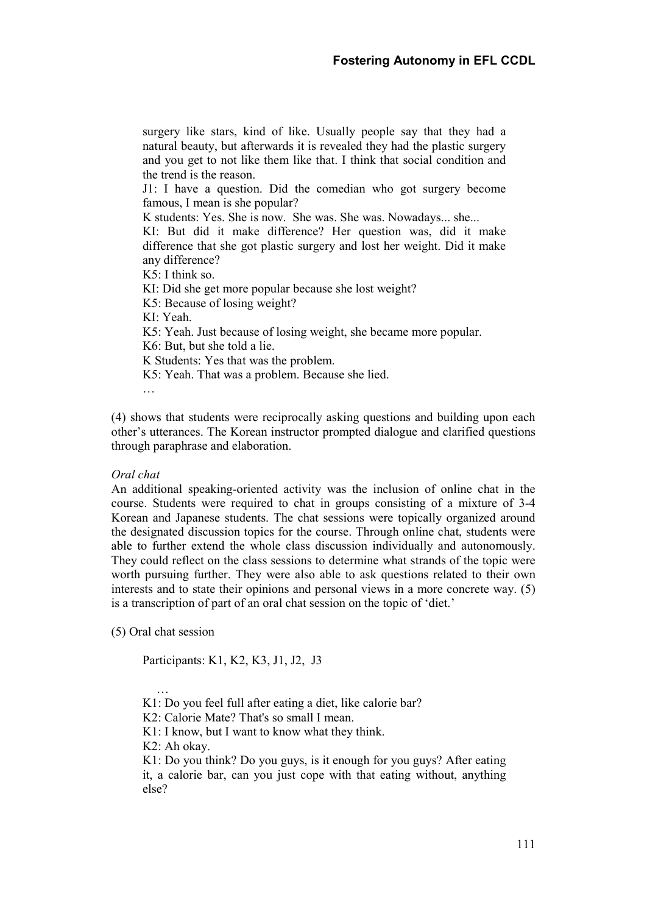surgery like stars, kind of like. Usually people say that they had a natural beauty, but afterwards it is revealed they had the plastic surgery and you get to not like them like that. I think that social condition and the trend is the reason.

J1: I have a question. Did the comedian who got surgery become famous, I mean is she popular?

K students: Yes. She is now. She was. She was. Nowadays... she...

KI: But did it make difference? Her question was, did it make difference that she got plastic surgery and lost her weight. Did it make any difference?

K5: I think so.

KI: Did she get more popular because she lost weight?

K5: Because of losing weight?

KI: Yeah.

K5: Yeah. Just because of losing weight, she became more popular.

K6: But, but she told a lie.

K Students: Yes that was the problem.

K5: Yeah. That was a problem. Because she lied.

…

(4) shows that students were reciprocally asking questions and building upon each other's utterances. The Korean instructor prompted dialogue and clarified questions through paraphrase and elaboration.

## Oral chat

An additional speaking-oriented activity was the inclusion of online chat in the course. Students were required to chat in groups consisting of a mixture of 3-4 Korean and Japanese students. The chat sessions were topically organized around the designated discussion topics for the course. Through online chat, students were able to further extend the whole class discussion individually and autonomously. They could reflect on the class sessions to determine what strands of the topic were worth pursuing further. They were also able to ask questions related to their own interests and to state their opinions and personal views in a more concrete way. (5) is a transcription of part of an oral chat session on the topic of 'diet.'

(5) Oral chat session

…

Participants: K1, K2, K3, J1, J2, J3

K1: Do you feel full after eating a diet, like calorie bar?

K2: Calorie Mate? That's so small I mean.

K1: I know, but I want to know what they think.

K2: Ah okay.

K1: Do you think? Do you guys, is it enough for you guys? After eating it, a calorie bar, can you just cope with that eating without, anything else?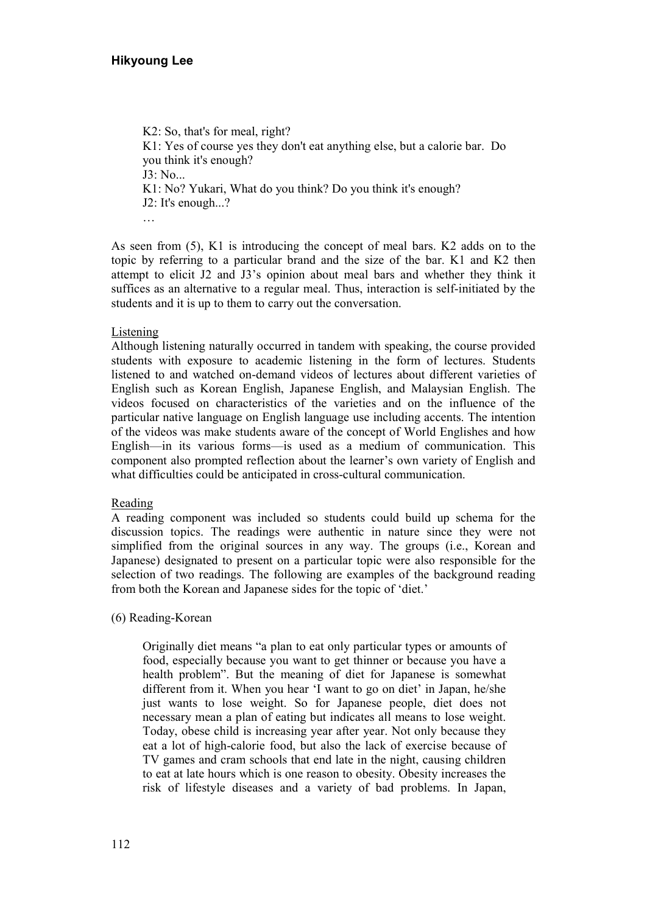K2: So, that's for meal, right? K1: Yes of course yes they don't eat anything else, but a calorie bar. Do you think it's enough? J3: No... K1: No? Yukari, What do you think? Do you think it's enough? J2: It's enough...? …

As seen from (5), K1 is introducing the concept of meal bars. K2 adds on to the topic by referring to a particular brand and the size of the bar. K1 and K2 then attempt to elicit J2 and J3's opinion about meal bars and whether they think it suffices as an alternative to a regular meal. Thus, interaction is self-initiated by the students and it is up to them to carry out the conversation.

## Listening

Although listening naturally occurred in tandem with speaking, the course provided students with exposure to academic listening in the form of lectures. Students listened to and watched on-demand videos of lectures about different varieties of English such as Korean English, Japanese English, and Malaysian English. The videos focused on characteristics of the varieties and on the influence of the particular native language on English language use including accents. The intention of the videos was make students aware of the concept of World Englishes and how English—in its various forms—is used as a medium of communication. This component also prompted reflection about the learner's own variety of English and what difficulties could be anticipated in cross-cultural communication.

#### Reading

A reading component was included so students could build up schema for the discussion topics. The readings were authentic in nature since they were not simplified from the original sources in any way. The groups (i.e., Korean and Japanese) designated to present on a particular topic were also responsible for the selection of two readings. The following are examples of the background reading from both the Korean and Japanese sides for the topic of 'diet.'

#### (6) Reading-Korean

Originally diet means "a plan to eat only particular types or amounts of food, especially because you want to get thinner or because you have a health problem". But the meaning of diet for Japanese is somewhat different from it. When you hear 'I want to go on diet' in Japan, he/she just wants to lose weight. So for Japanese people, diet does not necessary mean a plan of eating but indicates all means to lose weight. Today, obese child is increasing year after year. Not only because they eat a lot of high-calorie food, but also the lack of exercise because of TV games and cram schools that end late in the night, causing children to eat at late hours which is one reason to obesity. Obesity increases the risk of lifestyle diseases and a variety of bad problems. In Japan,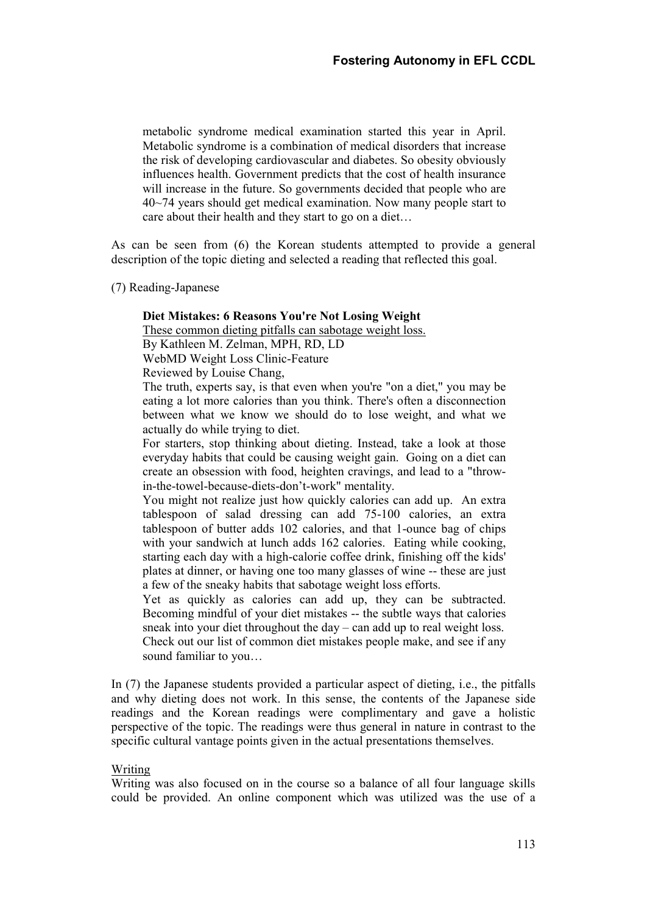metabolic syndrome medical examination started this year in April. Metabolic syndrome is a combination of medical disorders that increase the risk of developing cardiovascular and diabetes. So obesity obviously influences health. Government predicts that the cost of health insurance will increase in the future. So governments decided that people who are 40~74 years should get medical examination. Now many people start to care about their health and they start to go on a diet…

As can be seen from (6) the Korean students attempted to provide a general description of the topic dieting and selected a reading that reflected this goal.

(7) Reading-Japanese

#### Diet Mistakes: 6 Reasons You're Not Losing Weight

These common dieting pitfalls can sabotage weight loss.

By Kathleen M. Zelman, MPH, RD, LD

WebMD Weight Loss Clinic-Feature

Reviewed by Louise Chang,

The truth, experts say, is that even when you're "on a diet," you may be eating a lot more calories than you think. There's often a disconnection between what we know we should do to lose weight, and what we actually do while trying to diet.

For starters, stop thinking about dieting. Instead, take a look at those everyday habits that could be causing weight gain. Going on a diet can create an obsession with food, heighten cravings, and lead to a "throwin-the-towel-because-diets-don't-work" mentality.

You might not realize just how quickly calories can add up. An extra tablespoon of salad dressing can add 75-100 calories, an extra tablespoon of butter adds 102 calories, and that 1-ounce bag of chips with your sandwich at lunch adds 162 calories. Eating while cooking, starting each day with a high-calorie coffee drink, finishing off the kids' plates at dinner, or having one too many glasses of wine -- these are just a few of the sneaky habits that sabotage weight loss efforts.

Yet as quickly as calories can add up, they can be subtracted. Becoming mindful of your diet mistakes -- the subtle ways that calories sneak into your diet throughout the day – can add up to real weight loss. Check out our list of common diet mistakes people make, and see if any sound familiar to you…

In (7) the Japanese students provided a particular aspect of dieting, i.e., the pitfalls and why dieting does not work. In this sense, the contents of the Japanese side readings and the Korean readings were complimentary and gave a holistic perspective of the topic. The readings were thus general in nature in contrast to the specific cultural vantage points given in the actual presentations themselves.

#### Writing

Writing was also focused on in the course so a balance of all four language skills could be provided. An online component which was utilized was the use of a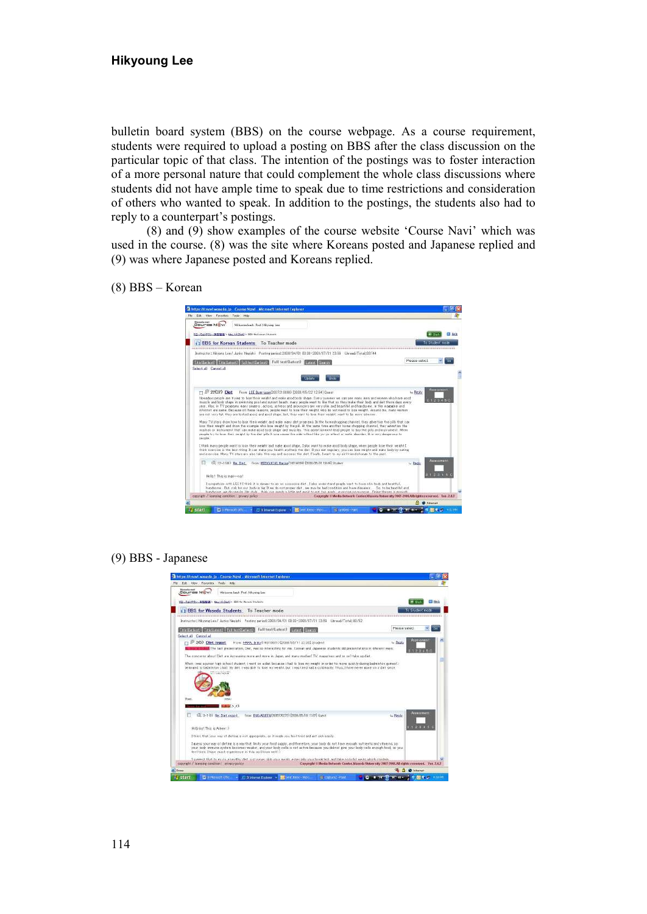# Hikyoung Lee

bulletin board system (BBS) on the course webpage. As a course requirement, students were required to upload a posting on BBS after the class discussion on the particular topic of that class. The intention of the postings was to foster interaction of a more personal nature that could complement the whole class discussions where students did not have ample time to speak due to time restrictions and consideration of others who wanted to speak. In addition to the postings, the students also had to reply to a counterpart's postings.

(8) and (9) show examples of the course website 'Course Navi' which was used in the course. (8) was the site where Koreans posted and Japanese replied and (9) was where Japanese posted and Koreans replied.

(8) BBS – Korean

| Fift: Vest Francisco<br>Tools Help                                                                                                                                                                                                                                                                                                                                                                                                                                                                                                                                          |               |                    |
|-----------------------------------------------------------------------------------------------------------------------------------------------------------------------------------------------------------------------------------------------------------------------------------------------------------------------------------------------------------------------------------------------------------------------------------------------------------------------------------------------------------------------------------------------------------------------------|---------------|--------------------|
| Wansels-est<br>Course Nov<br>Welcome back Prof. Hirocean Lee.                                                                                                                                                                                                                                                                                                                                                                                                                                                                                                               |               |                    |
| サローバルドデキンー実型製造> May 16 (Dart)> 最近 for Kongo Students                                                                                                                                                                                                                                                                                                                                                                                                                                                                                                                        |               | Ell Hotel          |
| BBS for Korean Students To Teacher mode                                                                                                                                                                                                                                                                                                                                                                                                                                                                                                                                     |               | To Student noth    |
| Instructor: Hissone Law/ Junko Negathi Postere period: 2008/04/01 00:00-2008/07/31 23:59 Literagi/Total: 03/44                                                                                                                                                                                                                                                                                                                                                                                                                                                              |               |                    |
| TeletEur sant 1 Telett www.t - Full territor liest?-<br>Full taxt (Latext)<br>Latent                                                                                                                                                                                                                                                                                                                                                                                                                                                                                        | Please select |                    |
| Salant all Cannal all                                                                                                                                                                                                                                                                                                                                                                                                                                                                                                                                                       |               |                    |
| $0<\epsilon<\epsilon$<br>in de                                                                                                                                                                                                                                                                                                                                                                                                                                                                                                                                              |               |                    |
| From: LEE Burn-joon 0007210085 (2008/05/22 12:54) Guest<br>22 22 (37) Diet<br>TT.                                                                                                                                                                                                                                                                                                                                                                                                                                                                                           | L. Rethy      | <b>American</b>    |
| Nowadays people are trying to lobe their weight and reale good body shape. Every currency we can see mory men and women who have good.<br>mumb and body chaps in committee pool and summit beach, many people want to like that co they make their body and det there days every                                                                                                                                                                                                                                                                                            |               |                    |
| sear. Also, in TV programs every singers, actors, actress and ariouncers are very slik and beautiful and handsome in the reagative and                                                                                                                                                                                                                                                                                                                                                                                                                                      |               |                    |
| internet are came. Secures of these reasons, people want to lose their weight, who do not need to lose weight. Around me, many woman<br>are not very lat, they are looked good and good chape but, they want to looe their weight, went to be every cilement.                                                                                                                                                                                                                                                                                                               |               |                    |
| Mony TV stors show how to lose their weight and wake wany det programs. In the homeshopping channel, they advertise the pills that can<br>loss thair weath and show the scurps who loss weight by the pil. At the same time another home shopping channel, they advertise the<br>reachan or instrument that can reale good body shape and muscles. This advertisement lead people to buy the pills and instrument. When<br>people try to look their weight by the dist oils it one cause the side-effect like varyo effect or eatin doorder. It is way denote to<br>people. |               |                    |
| I think many people wont to loce their weight and indic good phase. I also wont to make good body chape, when people loce their weight I.<br>think epercies in the best thing. It can make you health and help the det. If you eat regulary, you can loss weight and make body by eating<br>and exercise. Many TV stars are also take this way and aucoress the det. Finally, I want to aw girl friend change to the gast.                                                                                                                                                  |               |                    |
| URL 22-11841 Re: Diet - Frois: NEXXXXIXIN, Marina 07/07/41/99 2008/05/31 18:49] Student                                                                                                                                                                                                                                                                                                                                                                                                                                                                                     | L. Peol       | <b>Access mant</b> |
| Hello I: Thio is warr-ened                                                                                                                                                                                                                                                                                                                                                                                                                                                                                                                                                  |               |                    |
| Taywpathize with LEET I think it is danger to go on excessive diet. Tolso writerstand people want to have slim body and beatiful.<br>handsome. But risk for our body is big B we do not proper det , we may be bed condition and have dimens. So, to be beatfital and<br>handscape are discounts: He style, thick our mosts still for and easil to eat for mach, eventue on number. This theses is enough<br>payer at t / learning condition tensory policy<br>Copyright Offents fictwork Center Wareda Buser (ey 2007-1000.All rights synered. Ver. 2.6.)                  |               |                    |

(9) BBS - Japanese

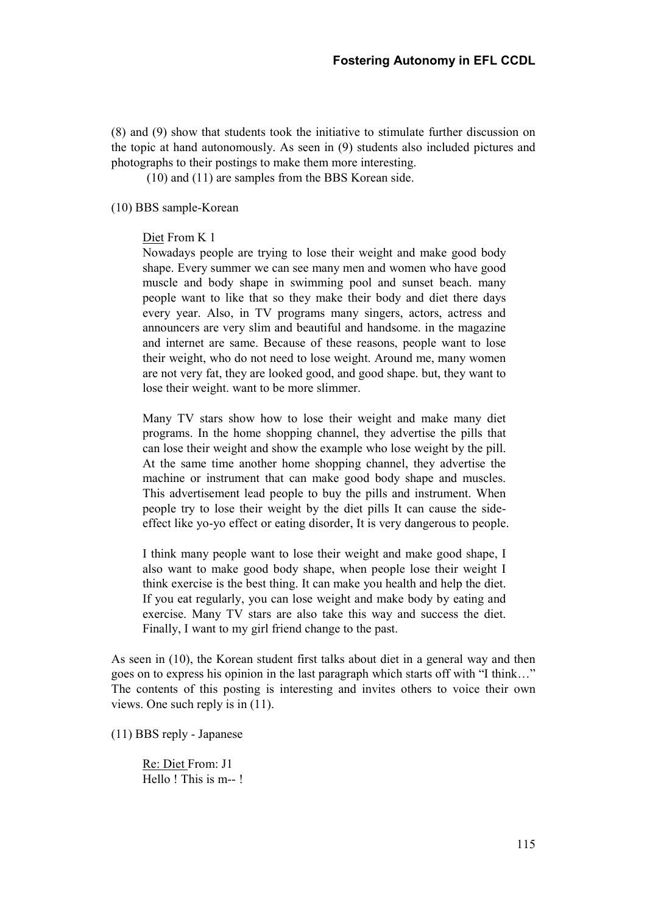(8) and (9) show that students took the initiative to stimulate further discussion on the topic at hand autonomously. As seen in (9) students also included pictures and photographs to their postings to make them more interesting.

(10) and (11) are samples from the BBS Korean side.

#### (10) BBS sample-Korean

#### Diet From K 1

Nowadays people are trying to lose their weight and make good body shape. Every summer we can see many men and women who have good muscle and body shape in swimming pool and sunset beach. many people want to like that so they make their body and diet there days every year. Also, in TV programs many singers, actors, actress and announcers are very slim and beautiful and handsome. in the magazine and internet are same. Because of these reasons, people want to lose their weight, who do not need to lose weight. Around me, many women are not very fat, they are looked good, and good shape. but, they want to lose their weight. want to be more slimmer.

Many TV stars show how to lose their weight and make many diet programs. In the home shopping channel, they advertise the pills that can lose their weight and show the example who lose weight by the pill. At the same time another home shopping channel, they advertise the machine or instrument that can make good body shape and muscles. This advertisement lead people to buy the pills and instrument. When people try to lose their weight by the diet pills It can cause the sideeffect like yo-yo effect or eating disorder, It is very dangerous to people.

I think many people want to lose their weight and make good shape, I also want to make good body shape, when people lose their weight I think exercise is the best thing. It can make you health and help the diet. If you eat regularly, you can lose weight and make body by eating and exercise. Many TV stars are also take this way and success the diet. Finally, I want to my girl friend change to the past.

As seen in (10), the Korean student first talks about diet in a general way and then goes on to express his opinion in the last paragraph which starts off with "I think…" The contents of this posting is interesting and invites others to voice their own views. One such reply is in (11).

(11) BBS reply - Japanese

Re: Diet From: J1 Hello ! This is m-- !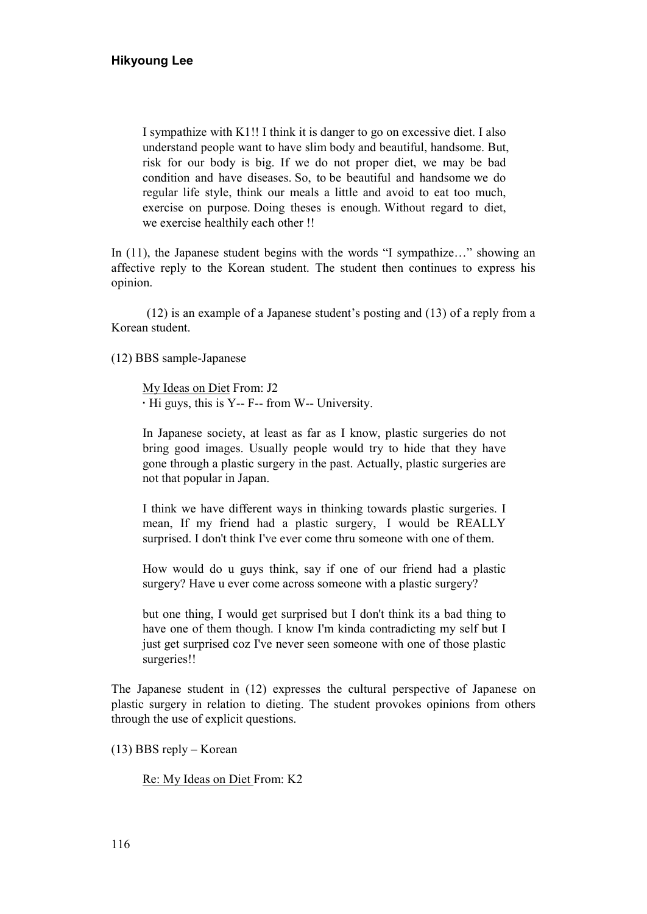I sympathize with K1!! I think it is danger to go on excessive diet. I also understand people want to have slim body and beautiful, handsome. But, risk for our body is big. If we do not proper diet, we may be bad condition and have diseases. So, to be beautiful and handsome we do regular life style, think our meals a little and avoid to eat too much, exercise on purpose. Doing theses is enough. Without regard to diet, we exercise healthily each other !!

In (11), the Japanese student begins with the words "I sympathize…" showing an affective reply to the Korean student. The student then continues to express his opinion.

(12) is an example of a Japanese student's posting and (13) of a reply from a Korean student.

(12) BBS sample-Japanese

My Ideas on Diet From: J2 · Hi guys, this is Y-- F-- from W-- University.

In Japanese society, at least as far as I know, plastic surgeries do not bring good images. Usually people would try to hide that they have gone through a plastic surgery in the past. Actually, plastic surgeries are not that popular in Japan.

I think we have different ways in thinking towards plastic surgeries. I mean, If my friend had a plastic surgery, I would be REALLY surprised. I don't think I've ever come thru someone with one of them.

How would do u guys think, say if one of our friend had a plastic surgery? Have u ever come across someone with a plastic surgery?

but one thing, I would get surprised but I don't think its a bad thing to have one of them though. I know I'm kinda contradicting my self but I just get surprised coz I've never seen someone with one of those plastic surgeries!!

The Japanese student in (12) expresses the cultural perspective of Japanese on plastic surgery in relation to dieting. The student provokes opinions from others through the use of explicit questions.

(13) BBS reply – Korean

Re: My Ideas on Diet From: K2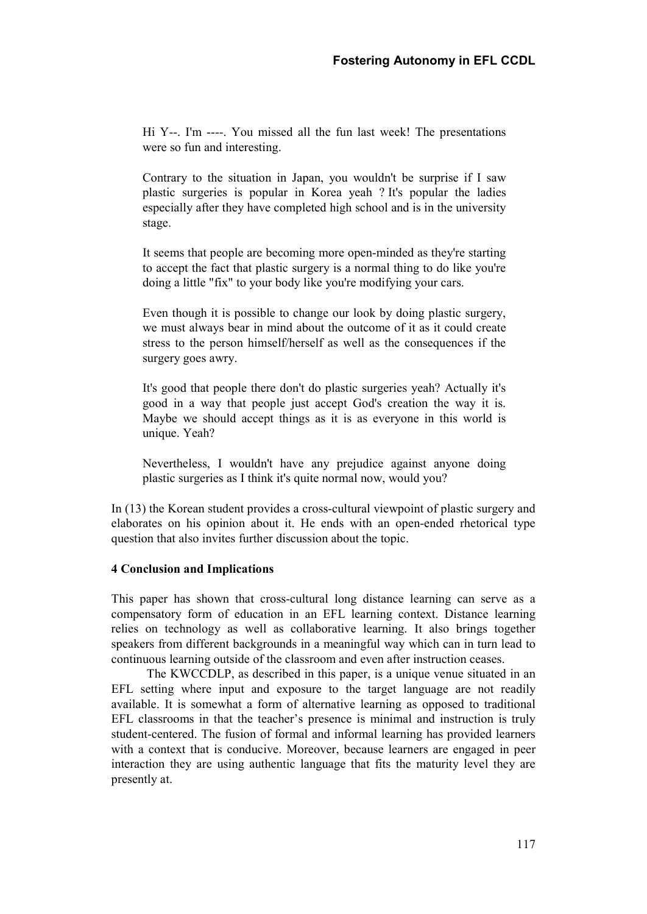Hi Y--. I'm ----. You missed all the fun last week! The presentations were so fun and interesting.

Contrary to the situation in Japan, you wouldn't be surprise if I saw plastic surgeries is popular in Korea yeah ? It's popular the ladies especially after they have completed high school and is in the university stage.

It seems that people are becoming more open-minded as they're starting to accept the fact that plastic surgery is a normal thing to do like you're doing a little "fix" to your body like you're modifying your cars.

Even though it is possible to change our look by doing plastic surgery, we must always bear in mind about the outcome of it as it could create stress to the person himself/herself as well as the consequences if the surgery goes awry.

It's good that people there don't do plastic surgeries yeah? Actually it's good in a way that people just accept God's creation the way it is. Maybe we should accept things as it is as everyone in this world is unique. Yeah?

Nevertheless, I wouldn't have any prejudice against anyone doing plastic surgeries as I think it's quite normal now, would you?

In (13) the Korean student provides a cross-cultural viewpoint of plastic surgery and elaborates on his opinion about it. He ends with an open-ended rhetorical type question that also invites further discussion about the topic.

# 4 Conclusion and Implications

This paper has shown that cross-cultural long distance learning can serve as a compensatory form of education in an EFL learning context. Distance learning relies on technology as well as collaborative learning. It also brings together speakers from different backgrounds in a meaningful way which can in turn lead to continuous learning outside of the classroom and even after instruction ceases.

The KWCCDLP, as described in this paper, is a unique venue situated in an EFL setting where input and exposure to the target language are not readily available. It is somewhat a form of alternative learning as opposed to traditional EFL classrooms in that the teacher's presence is minimal and instruction is truly student-centered. The fusion of formal and informal learning has provided learners with a context that is conducive. Moreover, because learners are engaged in peer interaction they are using authentic language that fits the maturity level they are presently at.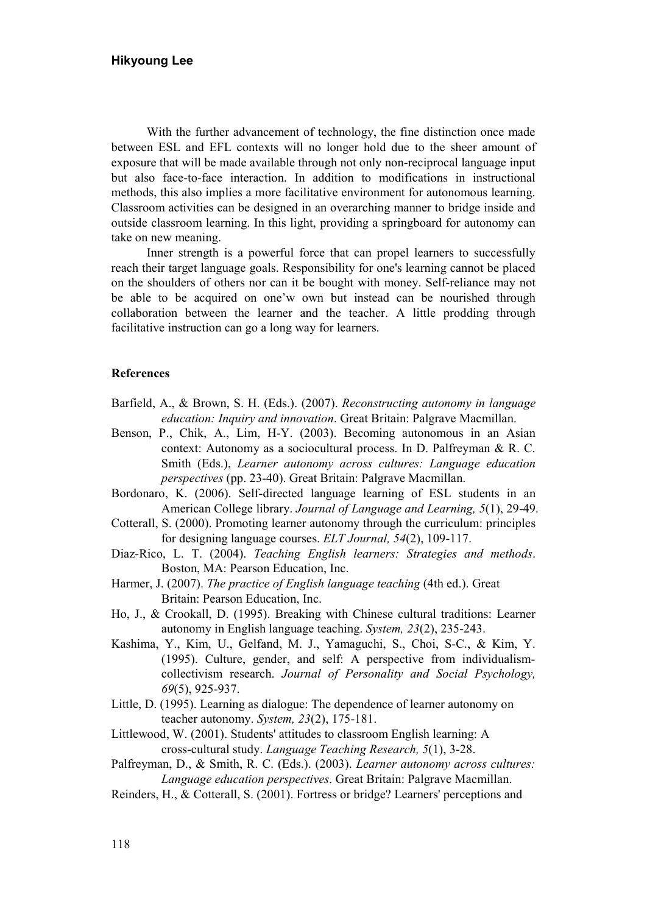With the further advancement of technology, the fine distinction once made between ESL and EFL contexts will no longer hold due to the sheer amount of exposure that will be made available through not only non-reciprocal language input but also face-to-face interaction. In addition to modifications in instructional methods, this also implies a more facilitative environment for autonomous learning. Classroom activities can be designed in an overarching manner to bridge inside and outside classroom learning. In this light, providing a springboard for autonomy can take on new meaning.

Inner strength is a powerful force that can propel learners to successfully reach their target language goals. Responsibility for one's learning cannot be placed on the shoulders of others nor can it be bought with money. Self-reliance may not be able to be acquired on one'w own but instead can be nourished through collaboration between the learner and the teacher. A little prodding through facilitative instruction can go a long way for learners.

#### References

- Barfield, A., & Brown, S. H. (Eds.). (2007). Reconstructing autonomy in language education: Inquiry and innovation. Great Britain: Palgrave Macmillan.
- Benson, P., Chik, A., Lim, H-Y. (2003). Becoming autonomous in an Asian context: Autonomy as a sociocultural process. In D. Palfreyman & R. C. Smith (Eds.), Learner autonomy across cultures: Language education perspectives (pp. 23-40). Great Britain: Palgrave Macmillan.
- Bordonaro, K. (2006). Self-directed language learning of ESL students in an American College library. Journal of Language and Learning, 5(1), 29-49.
- Cotterall, S. (2000). Promoting learner autonomy through the curriculum: principles for designing language courses. ELT Journal, 54(2), 109-117.
- Diaz-Rico, L. T. (2004). Teaching English learners: Strategies and methods. Boston, MA: Pearson Education, Inc.
- Harmer, J. (2007). The practice of English language teaching (4th ed.). Great Britain: Pearson Education, Inc.
- Ho, J., & Crookall, D. (1995). Breaking with Chinese cultural traditions: Learner autonomy in English language teaching. System, 23(2), 235-243.
- Kashima, Y., Kim, U., Gelfand, M. J., Yamaguchi, S., Choi, S-C., & Kim, Y. (1995). Culture, gender, and self: A perspective from individualismcollectivism research. Journal of Personality and Social Psychology, 69(5), 925-937.
- Little, D. (1995). Learning as dialogue: The dependence of learner autonomy on teacher autonomy. System, 23(2), 175-181.
- Littlewood, W. (2001). Students' attitudes to classroom English learning: A cross-cultural study. Language Teaching Research, 5(1), 3-28.
- Palfreyman, D., & Smith, R. C. (Eds.). (2003). Learner autonomy across cultures: Language education perspectives. Great Britain: Palgrave Macmillan.
- Reinders, H., & Cotterall, S. (2001). Fortress or bridge? Learners' perceptions and